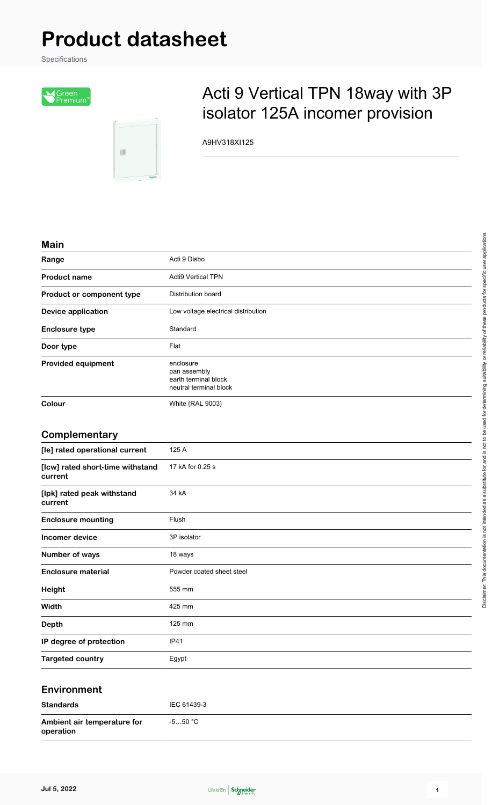# **Product datasheet**

Specifications



E

## Acti 9 Vertical TPN 18way with 3P isolator 125A incomer provision

A9HV318XI125

#### **Main**

| 1111111                   |                                                                             |
|---------------------------|-----------------------------------------------------------------------------|
| Range                     | Acti 9 Disbo                                                                |
| <b>Product name</b>       | <b>Acti9 Vertical TPN</b>                                                   |
| Product or component type | Distribution board                                                          |
| <b>Device application</b> | Low voltage electrical distribution                                         |
| <b>Enclosure type</b>     | Standard                                                                    |
| Door type                 | Flat                                                                        |
| <b>Provided equipment</b> | enclosure<br>pan assembly<br>earth terminal block<br>neutral terminal block |
| Colour                    | <b>White (RAL 9003)</b>                                                     |
| Complementary             |                                                                             |

#### **Complementary**

| [le] rated operational current              | 125 A                     |
|---------------------------------------------|---------------------------|
| [Icw] rated short-time withstand<br>current | 17 kA for 0.25 s          |
| [lpk] rated peak withstand<br>current       | 34 kA                     |
| <b>Enclosure mounting</b>                   | Flush                     |
| Incomer device                              | 3P isolator               |
| Number of ways                              | 18 ways                   |
| <b>Enclosure material</b>                   | Powder coated sheet steel |
| Height                                      | 555 mm                    |
| Width                                       | 425 mm                    |
| <b>Depth</b>                                | 125 mm                    |
| IP degree of protection                     | <b>IP41</b>               |
| <b>Targeted country</b>                     | Egypt                     |

#### **Environment**

| <b>Standards</b>                         | IEC 61439-3 |
|------------------------------------------|-------------|
| Ambient air temperature for<br>operation | -5…50 °C    |